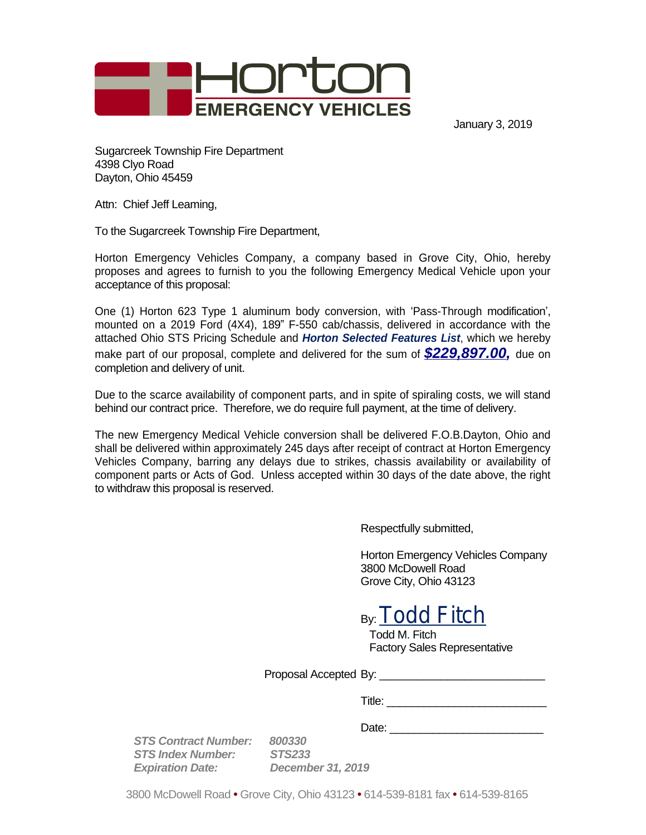

January 3, 2019

Sugarcreek Township Fire Department 4398 Clyo Road Dayton, Ohio 45459

Attn: Chief Jeff Leaming,

To the Sugarcreek Township Fire Department,

Horton Emergency Vehicles Company, a company based in Grove City, Ohio, hereby proposes and agrees to furnish to you the following Emergency Medical Vehicle upon your acceptance of this proposal:

One (1) Horton 623 Type 1 aluminum body conversion, with 'Pass-Through modification', mounted on a 2019 Ford (4X4), 189" F-550 cab/chassis, delivered in accordance with the attached Ohio STS Pricing Schedule and *Horton Selected Features List*, which we hereby make part of our proposal, complete and delivered for the sum of *\$229,897.00,* due on completion and delivery of unit.

Due to the scarce availability of component parts, and in spite of spiraling costs, we will stand behind our contract price. Therefore, we do require full payment, at the time of delivery.

The new Emergency Medical Vehicle conversion shall be delivered F.O.B.Dayton, Ohio and shall be delivered within approximately 245 days after receipt of contract at Horton Emergency Vehicles Company, barring any delays due to strikes, chassis availability or availability of component parts or Acts of God. Unless accepted within 30 days of the date above, the right to withdraw this proposal is reserved.

Respectfully submitted,

Horton Emergency Vehicles Company 3800 McDowell Road Grove City, Ohio 43123

By: Todd Fitch

Todd M. Fitch Factory Sales Representative

Proposal Accepted By:

Title: \_\_\_\_\_\_\_\_\_\_\_\_\_\_\_\_\_\_\_\_\_\_\_\_\_\_

Date: \_\_\_\_\_\_\_\_\_\_\_\_\_\_\_\_\_\_\_\_\_\_\_\_\_

*STS Contract Number: 800330 STS Index Number: Expiration Date: December 31, 2019*

3800 McDowell Road **•** Grove City, Ohio 43123 **•** 614-539-8181 fax **•** 614-539-8165